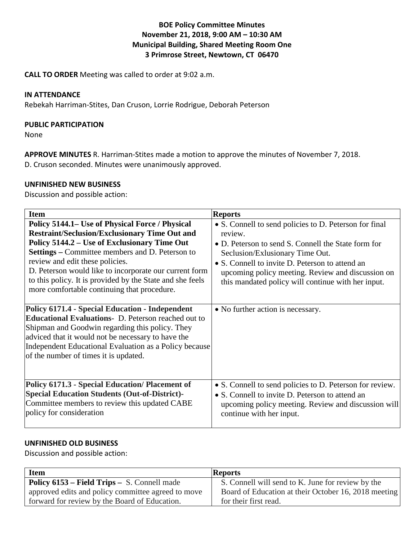# **BOE Policy Committee Minutes November 21, 2018, 9:00 AM – 10:30 AM Municipal Building, Shared Meeting Room One 3 Primrose Street, Newtown, CT 06470**

**CALL TO ORDER** Meeting was called to order at 9:02 a.m.

### **IN ATTENDANCE**

Rebekah Harriman-Stites, Dan Cruson, Lorrie Rodrigue, Deborah Peterson

### **PUBLIC PARTICIPATION**

None

**APPROVE MINUTES** R. Harriman-Stites made a motion to approve the minutes of November 7, 2018. D. Cruson seconded. Minutes were unanimously approved.

### **UNFINISHED NEW BUSINESS**

Discussion and possible action:

| <b>Item</b>                                                                                                                                                                                                                                                                                                                                                                                                                | <b>Reports</b>                                                                                                                                                                                                                                                                                                            |
|----------------------------------------------------------------------------------------------------------------------------------------------------------------------------------------------------------------------------------------------------------------------------------------------------------------------------------------------------------------------------------------------------------------------------|---------------------------------------------------------------------------------------------------------------------------------------------------------------------------------------------------------------------------------------------------------------------------------------------------------------------------|
| Policy 5144.1– Use of Physical Force / Physical<br><b>Restraint/Seclusion/Exclusionary Time Out and</b><br>Policy 5144.2 – Use of Exclusionary Time Out<br><b>Settings</b> – Committee members and D. Peterson to<br>review and edit these policies.<br>D. Peterson would like to incorporate our current form<br>to this policy. It is provided by the State and she feels<br>more comfortable continuing that procedure. | • S. Connell to send policies to D. Peterson for final<br>review.<br>• D. Peterson to send S. Connell the State form for<br>Seclusion/Exlusionary Time Out.<br>• S. Connell to invite D. Peterson to attend an<br>upcoming policy meeting. Review and discussion on<br>this mandated policy will continue with her input. |
| <b>Policy 6171.4 - Special Education - Independent</b><br><b>Educational Evaluations-</b> D. Peterson reached out to<br>Shipman and Goodwin regarding this policy. They<br>adviced that it would not be necessary to have the<br>Independent Educational Evaluation as a Policy because<br>of the number of times it is updated.                                                                                           | • No further action is necessary.                                                                                                                                                                                                                                                                                         |
| <b>Policy 6171.3 - Special Education/ Placement of</b><br><b>Special Education Students (Out-of-District)-</b><br>Committee members to review this updated CABE<br>policy for consideration                                                                                                                                                                                                                                | • S. Connell to send policies to D. Peterson for review.<br>• S. Connell to invite D. Peterson to attend an<br>upcoming policy meeting. Review and discussion will<br>continue with her input.                                                                                                                            |

# **UNFINISHED OLD BUSINESS**

Discussion and possible action:

| <b>Item</b>                                        | <b>Reports</b>                                       |
|----------------------------------------------------|------------------------------------------------------|
| <b>Policy 6153 – Field Trips – S. Connell made</b> | S. Connell will send to K. June for review by the    |
| approved edits and policy committee agreed to move | Board of Education at their October 16, 2018 meeting |
| forward for review by the Board of Education.      | for their first read.                                |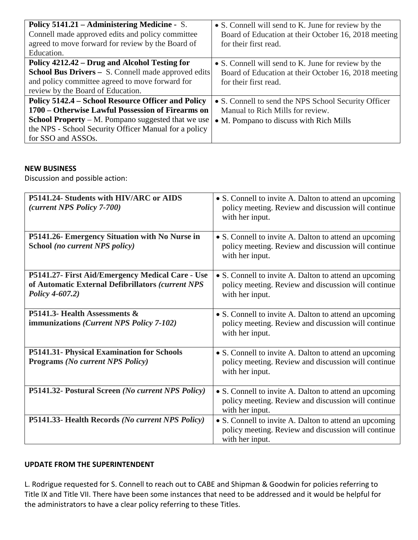| <b>Policy 5141.21 – Administering Medicine - S.</b>        | • S. Connell will send to K. June for review by the  |
|------------------------------------------------------------|------------------------------------------------------|
| Connell made approved edits and policy committee           | Board of Education at their October 16, 2018 meeting |
| agreed to move forward for review by the Board of          | for their first read.                                |
| Education.                                                 |                                                      |
| Policy 4212.42 – Drug and Alcohol Testing for              | • S. Connell will send to K. June for review by the  |
| <b>School Bus Drivers – S. Connell made approved edits</b> | Board of Education at their October 16, 2018 meeting |
| and policy committee agreed to move forward for            | for their first read.                                |
| review by the Board of Education.                          |                                                      |
| Policy 5142.4 – School Resource Officer and Policy         | • S. Connell to send the NPS School Security Officer |
| 1700 – Otherwise Lawful Possession of Firearms on          | Manual to Rich Mills for review.                     |
| <b>School Property</b> – M. Pompano suggested that we use  | • M. Pompano to discuss with Rich Mills              |
| the NPS - School Security Officer Manual for a policy      |                                                      |
| for SSO and ASSOs.                                         |                                                      |

## **NEW BUSINESS**

Discussion and possible action:

| P5141.24- Students with HIV/ARC or AIDS<br>(current NPS Policy 7-700)                                                    | • S. Connell to invite A. Dalton to attend an upcoming<br>policy meeting. Review and discussion will continue<br>with her input. |
|--------------------------------------------------------------------------------------------------------------------------|----------------------------------------------------------------------------------------------------------------------------------|
| P5141.26- Emergency Situation with No Nurse in<br>School (no current NPS policy)                                         | • S. Connell to invite A. Dalton to attend an upcoming<br>policy meeting. Review and discussion will continue<br>with her input. |
| P5141.27- First Aid/Emergency Medical Care - Use<br>of Automatic External Defibrillators (current NPS<br>Policy 4-607.2) | • S. Connell to invite A. Dalton to attend an upcoming<br>policy meeting. Review and discussion will continue<br>with her input. |
| P5141.3- Health Assessments &<br>immunizations (Current NPS Policy 7-102)                                                | • S. Connell to invite A. Dalton to attend an upcoming<br>policy meeting. Review and discussion will continue<br>with her input. |
| P5141.31- Physical Examination for Schools<br><b>Programs (No current NPS Policy)</b>                                    | • S. Connell to invite A. Dalton to attend an upcoming<br>policy meeting. Review and discussion will continue<br>with her input. |
| P5141.32- Postural Screen (No current NPS Policy)                                                                        | • S. Connell to invite A. Dalton to attend an upcoming<br>policy meeting. Review and discussion will continue<br>with her input. |
| P5141.33- Health Records (No current NPS Policy)                                                                         | • S. Connell to invite A. Dalton to attend an upcoming<br>policy meeting. Review and discussion will continue<br>with her input. |

# **UPDATE FROM THE SUPERINTENDENT**

L. Rodrigue requested for S. Connell to reach out to CABE and Shipman & Goodwin for policies referring to Title IX and Title VII. There have been some instances that need to be addressed and it would be helpful for the administrators to have a clear policy referring to these Titles.